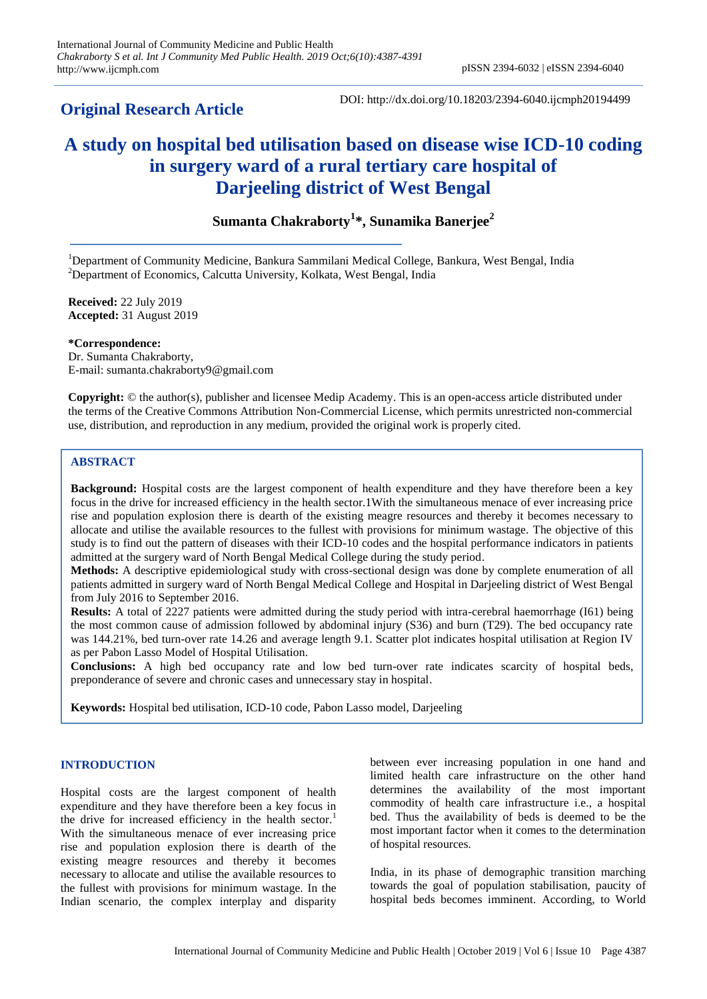# **Original Research Article**

DOI: http://dx.doi.org/10.18203/2394-6040.ijcmph20194499

# **A study on hospital bed utilisation based on disease wise ICD-10 coding in surgery ward of a rural tertiary care hospital of Darjeeling district of West Bengal**

**Sumanta Chakraborty<sup>1</sup> \*, Sunamika Banerjee<sup>2</sup>**

<sup>1</sup>Department of Community Medicine, Bankura Sammilani Medical College, Bankura, West Bengal, India  $2$ Department of Economics, Calcutta University, Kolkata, West Bengal, India

**Received:** 22 July 2019 **Accepted:** 31 August 2019

**\*Correspondence:** Dr. Sumanta Chakraborty, E-mail: sumanta.chakraborty9@gmail.com

**Copyright:** © the author(s), publisher and licensee Medip Academy. This is an open-access article distributed under the terms of the Creative Commons Attribution Non-Commercial License, which permits unrestricted non-commercial use, distribution, and reproduction in any medium, provided the original work is properly cited.

# **ABSTRACT**

**Background:** Hospital costs are the largest component of health expenditure and they have therefore been a key focus in the drive for increased efficiency in the health sector.1With the simultaneous menace of ever increasing price rise and population explosion there is dearth of the existing meagre resources and thereby it becomes necessary to allocate and utilise the available resources to the fullest with provisions for minimum wastage. The objective of this study is to find out the pattern of diseases with their ICD-10 codes and the hospital performance indicators in patients admitted at the surgery ward of North Bengal Medical College during the study period.

**Methods:** A descriptive epidemiological study with cross-sectional design was done by complete enumeration of all patients admitted in surgery ward of North Bengal Medical College and Hospital in Darjeeling district of West Bengal from July 2016 to September 2016.

**Results:** A total of 2227 patients were admitted during the study period with intra-cerebral haemorrhage (I61) being the most common cause of admission followed by abdominal injury (S36) and burn (T29). The bed occupancy rate was 144.21%, bed turn-over rate 14.26 and average length 9.1. Scatter plot indicates hospital utilisation at Region IV as per Pabon Lasso Model of Hospital Utilisation.

**Conclusions:** A high bed occupancy rate and low bed turn-over rate indicates scarcity of hospital beds, preponderance of severe and chronic cases and unnecessary stay in hospital.

**Keywords:** Hospital bed utilisation, ICD-10 code, Pabon Lasso model, Darjeeling

# **INTRODUCTION**

Hospital costs are the largest component of health expenditure and they have therefore been a key focus in the drive for increased efficiency in the health sector.<sup>1</sup> With the simultaneous menace of ever increasing price rise and population explosion there is dearth of the existing meagre resources and thereby it becomes necessary to allocate and utilise the available resources to the fullest with provisions for minimum wastage. In the Indian scenario, the complex interplay and disparity between ever increasing population in one hand and limited health care infrastructure on the other hand determines the availability of the most important commodity of health care infrastructure i.e., a hospital bed. Thus the availability of beds is deemed to be the most important factor when it comes to the determination of hospital resources.

India, in its phase of demographic transition marching towards the goal of population stabilisation, paucity of hospital beds becomes imminent. According, to World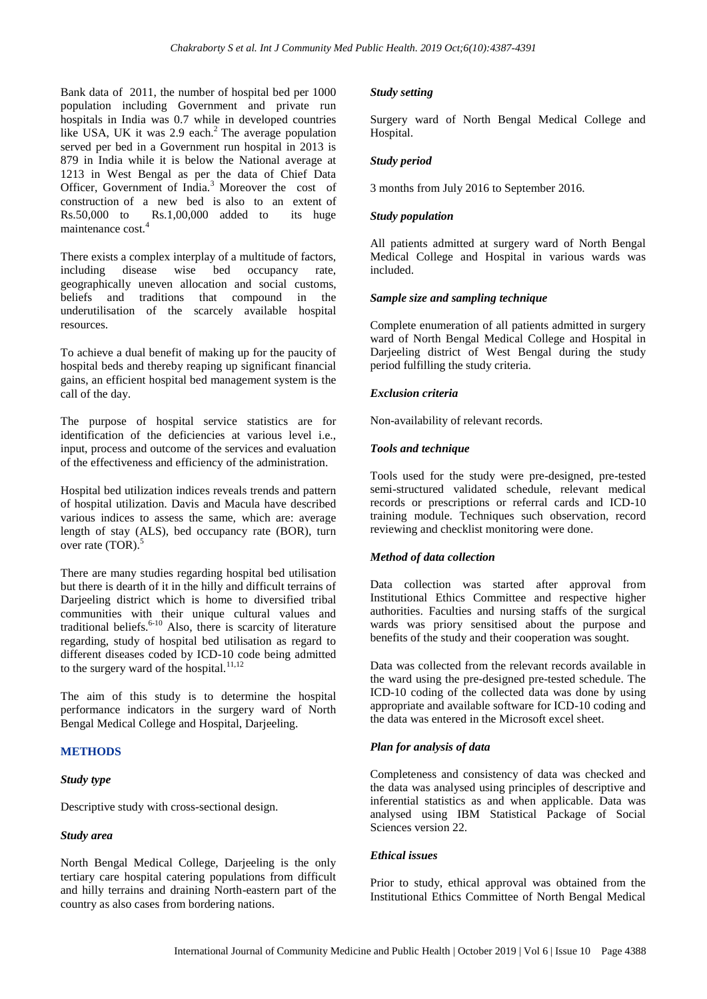Bank data of 2011, the number of hospital bed per 1000 population including Government and private run hospitals in India was 0.7 while in developed countries like USA, UK it was 2.9 each.<sup>2</sup> The average population served per bed in a Government run hospital in 2013 is 879 in India while it is below the National average at 1213 in West Bengal as per the data of Chief Data Officer, Government of India.<sup>3</sup> Moreover the cost of construction of a new bed is also to an extent of Rs.50,000 to Rs.1,00,000 added to its huge maintenance cost.<sup>4</sup>

There exists a complex interplay of a multitude of factors, including disease wise bed occupancy rate, geographically uneven allocation and social customs, beliefs and traditions that compound in the underutilisation of the scarcely available hospital resources.

To achieve a dual benefit of making up for the paucity of hospital beds and thereby reaping up significant financial gains, an efficient hospital bed management system is the call of the day.

The purpose of hospital service statistics are for identification of the deficiencies at various level i.e., input, process and outcome of the services and evaluation of the effectiveness and efficiency of the administration.

Hospital bed utilization indices reveals trends and pattern of hospital utilization. Davis and Macula have described various indices to assess the same, which are: average length of stay (ALS), bed occupancy rate (BOR), turn over rate  $(TOR)$ .

There are many studies regarding hospital bed utilisation but there is dearth of it in the hilly and difficult terrains of Darjeeling district which is home to diversified tribal communities with their unique cultural values and traditional beliefs. $6-10$  Also, there is scarcity of literature regarding, study of hospital bed utilisation as regard to different diseases coded by ICD-10 code being admitted to the surgery ward of the hospital.<sup>11,12</sup>

The aim of this study is to determine the hospital performance indicators in the surgery ward of North Bengal Medical College and Hospital, Darjeeling.

# **METHODS**

# *Study type*

Descriptive study with cross-sectional design.

# *Study area*

North Bengal Medical College, Darjeeling is the only tertiary care hospital catering populations from difficult and hilly terrains and draining North-eastern part of the country as also cases from bordering nations.

#### *Study setting*

Surgery ward of North Bengal Medical College and Hospital.

#### *Study period*

3 months from July 2016 to September 2016.

# *Study population*

All patients admitted at surgery ward of North Bengal Medical College and Hospital in various wards was included.

# *Sample size and sampling technique*

Complete enumeration of all patients admitted in surgery ward of North Bengal Medical College and Hospital in Darjeeling district of West Bengal during the study period fulfilling the study criteria.

# *Exclusion criteria*

Non-availability of relevant records.

# *Tools and technique*

Tools used for the study were pre-designed, pre-tested semi-structured validated schedule, relevant medical records or prescriptions or referral cards and ICD-10 training module. Techniques such observation, record reviewing and checklist monitoring were done.

# *Method of data collection*

Data collection was started after approval from Institutional Ethics Committee and respective higher authorities. Faculties and nursing staffs of the surgical wards was priory sensitised about the purpose and benefits of the study and their cooperation was sought.

Data was collected from the relevant records available in the ward using the pre-designed pre-tested schedule. The ICD-10 coding of the collected data was done by using appropriate and available software for ICD-10 coding and the data was entered in the Microsoft excel sheet.

# *Plan for analysis of data*

Completeness and consistency of data was checked and the data was analysed using principles of descriptive and inferential statistics as and when applicable. Data was analysed using IBM Statistical Package of Social Sciences version 22.

#### *Ethical issues*

Prior to study, ethical approval was obtained from the Institutional Ethics Committee of North Bengal Medical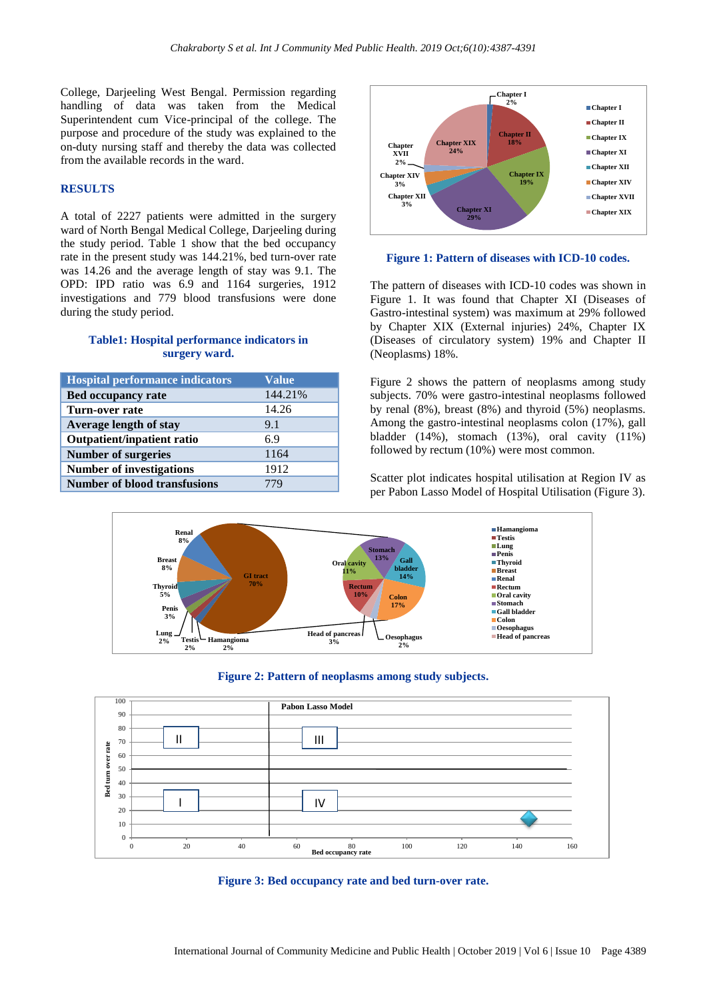College, Darjeeling West Bengal. Permission regarding handling of data was taken from the Medical Superintendent cum Vice-principal of the college. The purpose and procedure of the study was explained to the on-duty nursing staff and thereby the data was collected from the available records in the ward.

# **RESULTS**

A total of 2227 patients were admitted in the surgery ward of North Bengal Medical College, Darjeeling during the study period. Table 1 show that the bed occupancy rate in the present study was 144.21%, bed turn-over rate was 14.26 and the average length of stay was 9.1. The OPD: IPD ratio was 6.9 and 1164 surgeries, 1912 investigations and 779 blood transfusions were done during the study period.

# **Table1: Hospital performance indicators in surgery ward.**

| <b>Hospital performance indicators</b> | <b>Value</b> |
|----------------------------------------|--------------|
| <b>Bed occupancy rate</b>              | 144.21%      |
| Turn-over rate                         | 14.26        |
| Average length of stay                 | 9.1          |
| <b>Outpatient/inpatient ratio</b>      | 6.9          |
| <b>Number of surgeries</b>             | 1164         |
| <b>Number of investigations</b>        | 1912         |
| <b>Number of blood transfusions</b>    | 779          |



#### **Figure 1: Pattern of diseases with ICD-10 codes.**

The pattern of diseases with ICD-10 codes was shown in Figure 1. It was found that Chapter XI (Diseases of Gastro-intestinal system) was maximum at 29% followed by Chapter XIX (External injuries) 24%, Chapter IX (Diseases of circulatory system) 19% and Chapter II (Neoplasms) 18%.

Figure 2 shows the pattern of neoplasms among study subjects. 70% were gastro-intestinal neoplasms followed by renal (8%), breast (8%) and thyroid (5%) neoplasms. Among the gastro-intestinal neoplasms colon (17%), gall bladder (14%), stomach (13%), oral cavity (11%) followed by rectum (10%) were most common.









Scatter plot indicates hospital utilisation at Region IV as per Pabon Lasso Model of Hospital Utilisation (Figure 3).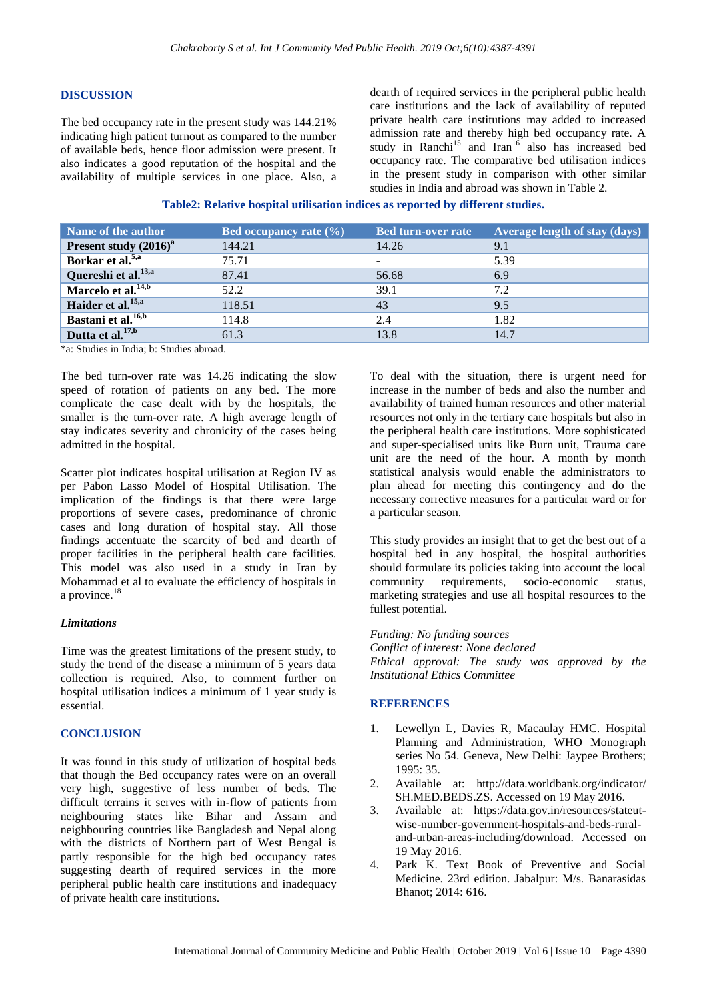#### **DISCUSSION**

The bed occupancy rate in the present study was 144.21% indicating high patient turnout as compared to the number of available beds, hence floor admission were present. It also indicates a good reputation of the hospital and the availability of multiple services in one place. Also, a dearth of required services in the peripheral public health care institutions and the lack of availability of reputed private health care institutions may added to increased admission rate and thereby high bed occupancy rate. A study in Ranchi<sup>15</sup> and Iran<sup>16</sup> also has increased bed occupancy rate. The comparative bed utilisation indices in the present study in comparison with other similar studies in India and abroad was shown in Table 2.

**Table2: Relative hospital utilisation indices as reported by different studies.**

| Name of the author              | Bed occupancy rate $(\% )$ | <b>Bed turn-over rate</b> | Average length of stay (days) |
|---------------------------------|----------------------------|---------------------------|-------------------------------|
| Present study $(2016)^a$        | 144.21                     | 14.26                     | 9.1                           |
| Borkar et al. <sup>5,a</sup>    | 75.71                      | $\overline{\phantom{a}}$  | 5.39                          |
| Quereshi et al. <sup>13,a</sup> | 87.41                      | 56.68                     | 6.9                           |
| Marcelo et al. <sup>14,b</sup>  | 52.2                       | 39.1                      | 7.2                           |
| Haider et al. <sup>15,a</sup>   | 118.51                     | 43                        | 9.5                           |
| Bastani et al. <sup>16,b</sup>  | 114.8                      | 2.4                       | 1.82                          |
| Dutta et al. <sup>17,b</sup>    | 61.3                       | 13.8                      | 14.7                          |

\*a: Studies in India; b: Studies abroad.

The bed turn-over rate was 14.26 indicating the slow speed of rotation of patients on any bed. The more complicate the case dealt with by the hospitals, the smaller is the turn-over rate. A high average length of stay indicates severity and chronicity of the cases being admitted in the hospital.

Scatter plot indicates hospital utilisation at Region IV as per Pabon Lasso Model of Hospital Utilisation. The implication of the findings is that there were large proportions of severe cases, predominance of chronic cases and long duration of hospital stay. All those findings accentuate the scarcity of bed and dearth of proper facilities in the peripheral health care facilities. This model was also used in a study in Iran by Mohammad et al to evaluate the efficiency of hospitals in a province.<sup>18</sup>

#### *Limitations*

Time was the greatest limitations of the present study, to study the trend of the disease a minimum of 5 years data collection is required. Also, to comment further on hospital utilisation indices a minimum of 1 year study is essential.

#### **CONCLUSION**

It was found in this study of utilization of hospital beds that though the Bed occupancy rates were on an overall very high, suggestive of less number of beds. The difficult terrains it serves with in-flow of patients from neighbouring states like Bihar and Assam and neighbouring countries like Bangladesh and Nepal along with the districts of Northern part of West Bengal is partly responsible for the high bed occupancy rates suggesting dearth of required services in the more peripheral public health care institutions and inadequacy of private health care institutions.

To deal with the situation, there is urgent need for increase in the number of beds and also the number and availability of trained human resources and other material resources not only in the tertiary care hospitals but also in the peripheral health care institutions. More sophisticated and super-specialised units like Burn unit, Trauma care unit are the need of the hour. A month by month statistical analysis would enable the administrators to plan ahead for meeting this contingency and do the necessary corrective measures for a particular ward or for a particular season.

This study provides an insight that to get the best out of a hospital bed in any hospital, the hospital authorities should formulate its policies taking into account the local community requirements, socio-economic status, marketing strategies and use all hospital resources to the fullest potential.

#### *Funding: No funding sources*

*Conflict of interest: None declared Ethical approval: The study was approved by the Institutional Ethics Committee*

#### **REFERENCES**

- 1. Lewellyn L, Davies R, Macaulay HMC. Hospital Planning and Administration, WHO Monograph series No 54. Geneva, New Delhi: Jaypee Brothers; 1995: 35.
- 2. Available at: http://data.worldbank.org/indicator/ SH.MED.BEDS.ZS. Accessed on 19 May 2016.
- 3. Available at: https://data.gov.in/resources/stateutwise-number-government-hospitals-and-beds-ruraland-urban-areas-including/download. Accessed on 19 May 2016.
- 4. Park K. Text Book of Preventive and Social Medicine. 23rd edition. Jabalpur: M/s. Banarasidas Bhanot; 2014: 616.